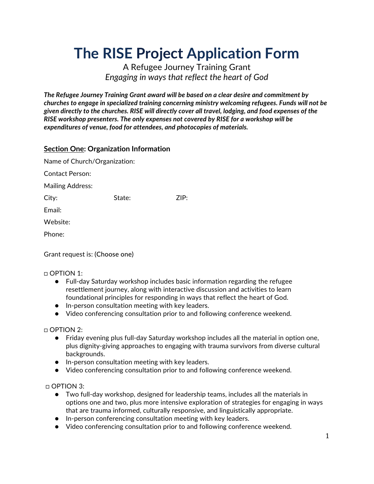# **The RISE Project Application Form**

A Refugee Journey Training Grant *Engaging in ways that reflect the heart of God*

*The Refugee Journey Training Grant award will be based on a clear desire and commitment by churches to engage in specialized training concerning ministry welcoming refugees. Funds will not be given directly to the churches. RISE will directly cover all travel, lodging, and food expenses of the RISE workshop presenters. The only expenses not covered by RISE for a workshop will be expenditures of venue, food for attendees, and photocopies of materials.* 

### **Section One: Organization Information**

| Name of Church/Organization:   |        |      |
|--------------------------------|--------|------|
| Contact Person:                |        |      |
| <b>Mailing Address:</b>        |        |      |
| City:                          | State: | ZIP: |
| Email:                         |        |      |
| Website:                       |        |      |
| Phone:                         |        |      |
| Grant request is: (Choose one) |        |      |

□ OPTION 1:

- Full-day Saturday workshop includes basic information regarding the refugee resettlement journey, along with interactive discussion and activities to learn foundational principles for responding in ways that reflect the heart of God.
- In-person consultation meeting with key leaders.
- Video conferencing consultation prior to and following conference weekend.

□ OPTION 2:

- Friday evening plus full-day Saturday workshop includes all the material in option one, plus dignity-giving approaches to engaging with trauma survivors from diverse cultural backgrounds.
- In-person consultation meeting with key leaders.
- Video conferencing consultation prior to and following conference weekend.

□ OPTION 3:

- Two full-day workshop, designed for leadership teams, includes all the materials in options one and two, plus more intensive exploration of strategies for engaging in ways that are trauma informed, culturally responsive, and linguistically appropriate.
- In-person conferencing consultation meeting with key leaders.
- Video conferencing consultation prior to and following conference weekend.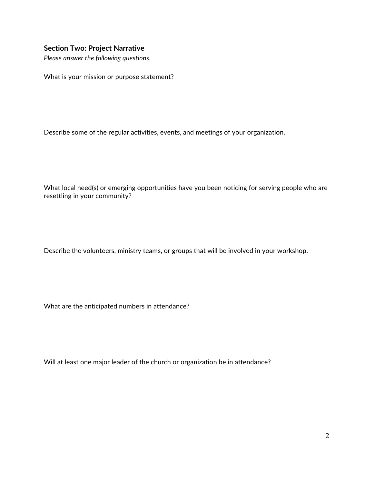#### **Section Two: Project Narrative**

*Please answer the following questions.*

What is your mission or purpose statement?

Describe some of the regular activities, events, and meetings of your organization.

What local need(s) or emerging opportunities have you been noticing for serving people who are resettling in your community?

Describe the volunteers, ministry teams, or groups that will be involved in your workshop.

What are the anticipated numbers in attendance?

Will at least one major leader of the church or organization be in attendance?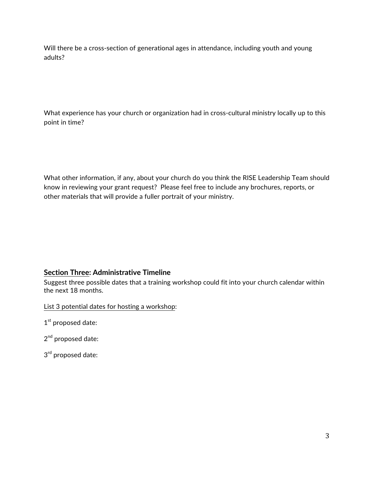Will there be a cross-section of generational ages in attendance, including youth and young adults?

What experience has your church or organization had in cross-cultural ministry locally up to this point in time?

What other information, if any, about your church do you think the RISE Leadership Team should know in reviewing your grant request? Please feel free to include any brochures, reports, or other materials that will provide a fuller portrait of your ministry.

## **Section Three: Administrative Timeline**

Suggest three possible dates that a training workshop could fit into your church calendar within the next 18 months.

List 3 potential dates for hosting a workshop:

1<sup>st</sup> proposed date:

2<sup>nd</sup> proposed date:

3<sup>rd</sup> proposed date: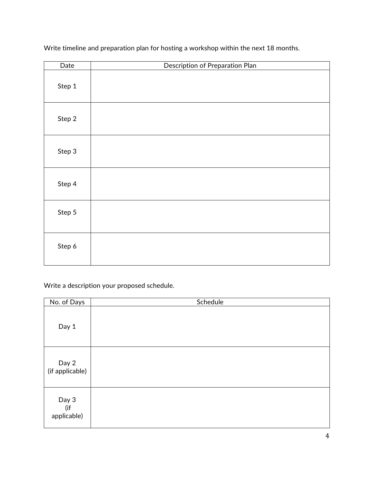| Date   | Description of Preparation Plan |
|--------|---------------------------------|
| Step 1 |                                 |
| Step 2 |                                 |
| Step 3 |                                 |
| Step 4 |                                 |
| Step 5 |                                 |
| Step 6 |                                 |

Write timeline and preparation plan for hosting a workshop within the next 18 months.

Write a description your proposed schedule.

| No. of Days                 | Schedule |
|-----------------------------|----------|
| Day 1                       |          |
| Day 2<br>(if applicable)    |          |
| Day 3<br>(if<br>applicable) |          |